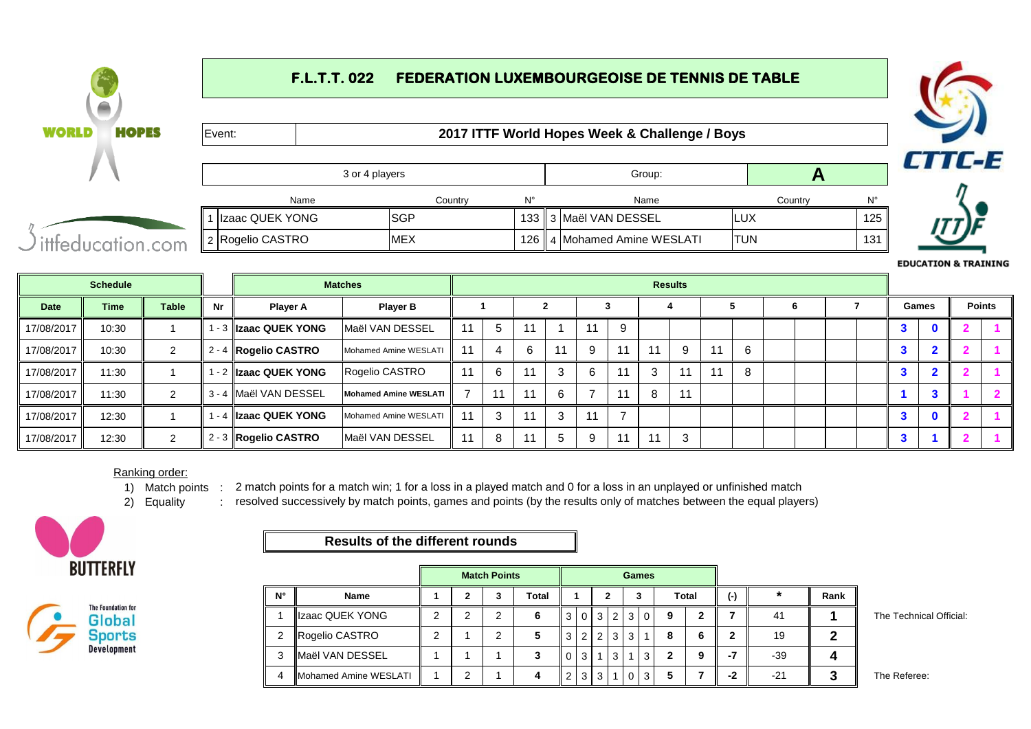# **F.L.T.T. 022 FEDERATION LUXEMBOURGEOISE DE TENNIS DE TABLE**



**EDUCATION & TRAINING** 

|             | <b>Schedule</b> |              |    |                         | <b>Matches</b>        |    |   |    |    |   |    |      | <b>Results</b> |    |   |   |  |                      |             |               |
|-------------|-----------------|--------------|----|-------------------------|-----------------------|----|---|----|----|---|----|------|----------------|----|---|---|--|----------------------|-------------|---------------|
| <b>Date</b> | <b>Time</b>     | <b>Table</b> | Nr | <b>Player A</b>         | <b>Player B</b>       |    |   |    |    |   |    |      |                |    |   | O |  | Games                |             | <b>Points</b> |
| 17/08/2017  | 10:30           |              |    | 1 - 3   Izaac QUEK YONG | Maël VAN DESSEL       | 11 | 5 | 11 |    |   | 9  |      |                |    |   |   |  | 3                    | $\mathbf 0$ |               |
| 17/08/2017  | 10:30           |              |    | 2 - 4 Rogelio CASTRO    | Mohamed Amine WESLATI | 11 | 4 | 6  | 11 | 9 | 11 |      | 9              | 11 | 6 |   |  | o                    |             |               |
| 17/08/2017  | 11:30           |              |    | 1 - 2   Izaac QUEK YONG | Rogelio CASTRO        | 11 | 6 | 11 |    | 6 |    |      | 11             | 11 |   |   |  |                      |             |               |
| 17/08/2017  | 11:30           |              |    | 3 - 4 Maël VAN DESSEL   | Mohamed Amine WESLATI |    |   | 11 | 6  |   | 11 | 8    | 11             |    |   |   |  |                      | -5          |               |
| 17/08/2017  | 12:30           |              |    | 1 - 4   Izaac QUEK YONG | Mohamed Amine WESLATI | 11 | 3 | 11 | 3  |   |    |      |                |    |   |   |  | $\ddot{\phantom{0}}$ | $\mathbf 0$ |               |
| 17/08/2017  | 12:30           |              |    | 2 - 3 Rogelio CASTRO    | Maël VAN DESSEL       | 11 |   | 11 | 5  | q | 11 | - 14 | 3              |    |   |   |  |                      |             |               |

#### Ranking order:

1) Match points : 2 match points for a match win; 1 for a loss in a played match and 0 for a loss in an unplayed or unfinished match

2) Equality resolved successively by match points, games and points (by the results only of matches between the equal players)



**WORLD** 



## **Results of the different rounds**

|    |                               |   | <b>Match Points</b> |       |   |   |       |                |   | <b>Games</b>   |                |       |           |       |      |                         |
|----|-------------------------------|---|---------------------|-------|---|---|-------|----------------|---|----------------|----------------|-------|-----------|-------|------|-------------------------|
| N° | <b>Name</b>                   |   | з                   | Total |   |   |       |                | 3 |                |                | Total | $(\cdot)$ | *     | Rank |                         |
|    | Izaac QUEK YONG               | ⌒ | ົ                   |       |   |   | 3 I   | 2              | 3 | $\overline{0}$ | 9              |       |           | -41   |      | The Technical Official: |
| 2  | Rogelio CASTRO                | ⌒ | ົ                   |       | 3 | 2 | $-21$ | 3 <sub>1</sub> | 3 |                | $\bullet$<br>ō | 6     | 2         | 19    |      |                         |
|    | <b>IMaël VAN DESSEL</b>       |   |                     |       | 0 | 3 |       | 3              |   | 3              | ີ              | 9     | -7        | $-39$ |      |                         |
| 4  | <b>IMohamed Amine WESLATI</b> |   |                     | 4     |   |   | 3     |                |   | 3 <sub>1</sub> |                |       | -2        | $-21$ |      | The Referee:            |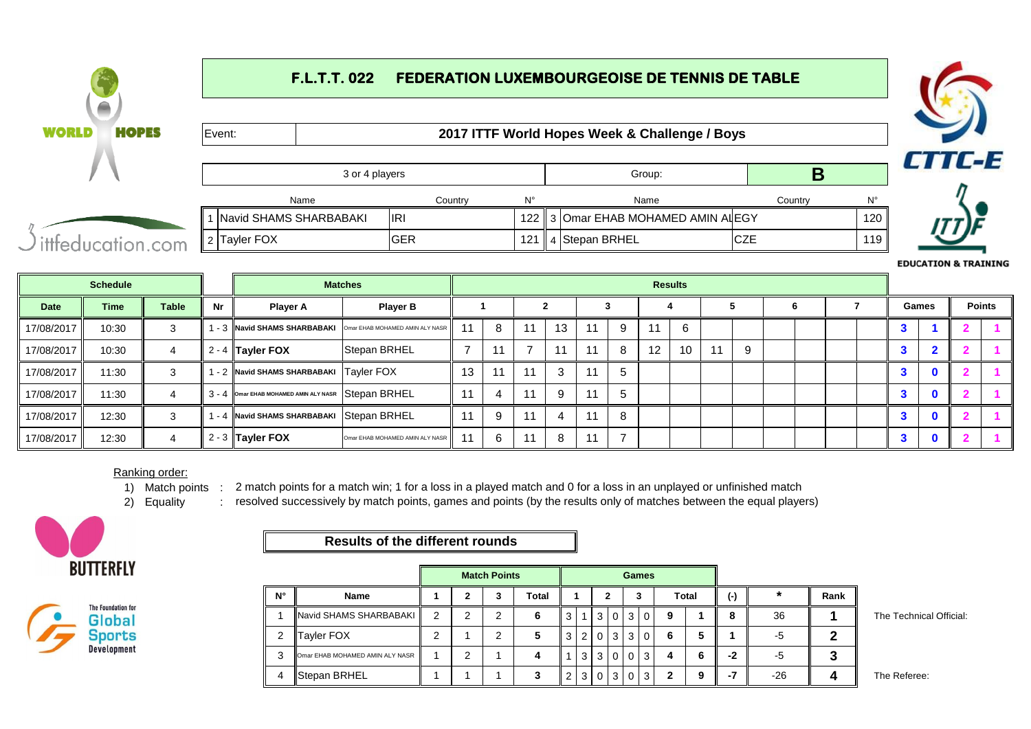# **F.L.T.T. 022 FEDERATION LUXEMBOURGEOISE DE TENNIS DE TABLE**



|             |                 |              |    |                                       |                                 |    |    |      |    |    |   |    |                |    |   |  |           | <b>EDUCATION &amp; TRAININ</b> |   |               |
|-------------|-----------------|--------------|----|---------------------------------------|---------------------------------|----|----|------|----|----|---|----|----------------|----|---|--|-----------|--------------------------------|---|---------------|
|             | <b>Schedule</b> |              |    |                                       | <b>Matches</b>                  |    |    |      |    |    |   |    | <b>Results</b> |    |   |  |           |                                |   |               |
| <b>Date</b> | <b>Time</b>     | <b>Table</b> | Nr | <b>Player A</b>                       | <b>Player B</b>                 |    |    |      |    |    |   |    |                |    | 6 |  | Games     |                                |   | <b>Points</b> |
| 17/08/2017  | 10:30           |              |    | -3 Navid SHAMS SHARBABAKI             | Omar EHAB MOHAMED AMIN ALY NASR |    | 8  | 11   | 13 | 11 |   | 11 | -6             |    |   |  | <b>C.</b> |                                | 2 |               |
| 17/08/2017  | 10:30           |              |    | 2 - 4 $\vert$ Tayler FOX              | Stepan BRHEL                    |    | 11 |      |    | 11 | 8 | 12 | 10             | -9 |   |  |           |                                |   |               |
| 17/08/2017  | 11:30           |              |    | 1 - 2 Navid SHAMS SHARBABAKI          | <b>Tayler FOX</b>               | 13 | 11 | - 14 | 3  | 11 |   |    |                |    |   |  |           | n.                             |   |               |
| 17/08/2017  | 11:30           |              |    | 3 - 4 Omar EHAB MOHAMED AMIN ALY NASR | Stepan BRHEL                    |    |    |      | 9  | 11 | 5 |    |                |    |   |  |           | $\mathbf{0}$                   |   |               |
| 17/08/2017  | 12:30           |              |    | - 4 Navid SHAMS SHARBABAKI            | Stepan BRHEL                    |    | -9 |      |    | 11 | 8 |    |                |    |   |  |           | $\mathbf{0}$                   |   |               |

#### Ranking order:

1) Match points : 2 match points for a match win; 1 for a loss in a played match and 0 for a loss in an unplayed or unfinished match

2) Equality resolved successively by match points, games and points (by the results only of matches between the equal players)



17/08/2017 | 12:30 | 4

**WORLD** 



### **Results of the different rounds**

|             |                                        |   | <b>Match Points</b> |       |   |                |                |                 | <b>Games</b>    |    |       |           |         |      |                         |
|-------------|----------------------------------------|---|---------------------|-------|---|----------------|----------------|-----------------|-----------------|----|-------|-----------|---------|------|-------------------------|
| $N^{\circ}$ | <b>Name</b>                            |   | 3                   | Total |   |                |                |                 | 3               |    | Total | $(\cdot)$ | $\star$ | Rank |                         |
|             | Navid SHAMS SHARBABAKI                 | 2 | ົ                   | 6     | 3 |                | 3              | $\overline{0}$  | 3 0             | 9  |       | 8         | 36      |      | The Technical Official: |
| 2           | <b>Tayler FOX</b>                      | ⌒ | ົ                   |       | 3 | 2 <sub>1</sub> |                |                 |                 | 6  | 5     |           | -5      |      |                         |
| 3           | <b>Omar EHAB MOHAMED AMIN ALY NASR</b> |   |                     | 4     |   | 3              | 3 <sup>1</sup> | $\circ$         | $\vert 3 \vert$ | Д. | ∼     | -2        | -5      |      |                         |
| 4           | Stepan BRHEL                           |   |                     |       | 2 | 3              |                | $0 \mid 3 \mid$ | $0 \mid 3 \mid$ | ◠  | 9     | -7        | $-26$   |      | The Referee:            |

2 - 3 **Tayler FOX** Omar EHAB MOHAMED AMIN ALY NASR 11 6 11 8 11 7 **3 0 2 1**



**RAINING** 

**1**

**2 1**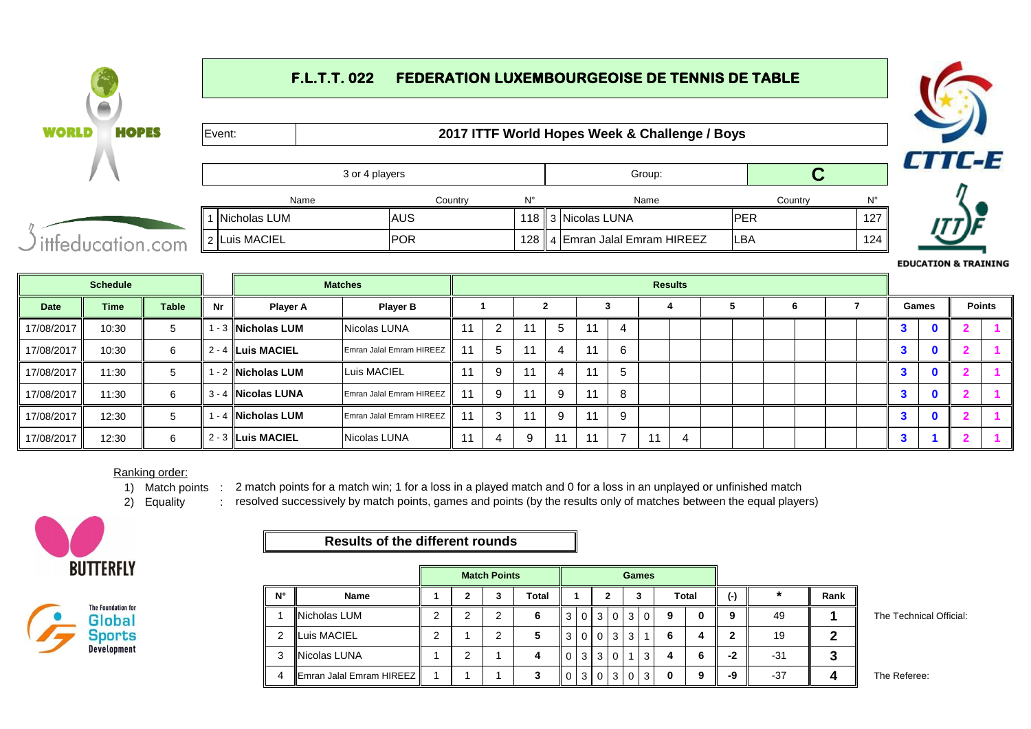### **F.L.T.T. 022 FEDERATION LUXEMBOURGEOISE DE TENNIS DE TABLE WORLD HOPES** Event: **2017 ITTF World Hopes Week & Challenge / Boys CTTC-E** 3 or 4 players Group: **C** Name Country N° Name Country N° 3 Nicolas LUNA PER 127 1 Nicholas LUM AUS 118 2 4 ittfeducation.com 4 Emran Jalal Emram HIREEZ LBA 124

|            | <b>Schedule</b> |              |    |                     | <b>Matches</b>           |    |   |    |    |    |   | <b>Results</b> |  |   |  |              |               |
|------------|-----------------|--------------|----|---------------------|--------------------------|----|---|----|----|----|---|----------------|--|---|--|--------------|---------------|
| Date       | <b>Time</b>     | <b>Table</b> | Nr | <b>Player A</b>     | <b>Player B</b>          |    |   |    |    |    |   |                |  | n |  | Games        | <b>Points</b> |
| 17/08/2017 | 10:30           | 5            |    | ∣ - 3 ∥Nicholas LUM | Nicolas LUNA             |    |   |    | -5 | 11 |   |                |  |   |  | $\bf{0}$     |               |
| 17/08/2017 | 10:30           | 6            |    | 2 - 4 ILuis MACIEL  | Emran Jalal Emram HIREEZ | 11 | 5 |    | -4 | 11 |   |                |  |   |  | $\mathbf 0$  |               |
| 17/08/2017 | 11:30           | 5            |    | l - 2 INicholas LUM | Luis MACIEL              |    | 9 |    |    | 11 | Ð |                |  |   |  | 0            |               |
| 17/08/2017 | 11:30           | 6            |    | 3 - 4 INicolas LUNA | Emran Jalal Emram HIREEZ | 11 | 9 | 44 | -9 | 11 |   |                |  |   |  | $\mathbf{a}$ |               |
| 17/08/2017 | 12:30           | 5            |    | ∣ - 4 ∥Nicholas LUM | Emran Jalal Emram HIREEZ | 11 | 3 | 11 | -9 | 11 | റ |                |  |   |  | $\mathbf{0}$ |               |
| 17/08/2017 | 12:30           | 6            |    | $2 - 3$ Luis MACIEL | Nicolas LUNA             |    | 4 | 9  |    | 11 |   | 4              |  |   |  |              |               |

#### Ranking order:

1) Match points : 2 match points for a match win; 1 for a loss in a played match and 0 for a loss in an unplayed or unfinished match

2) Equality resolved successively by match points, games and points (by the results only of matches between the equal players)





## **Results of the different rounds**

|             |                              | <b>Match Points</b><br><b>Total</b><br>2<br>3<br>2<br>2<br>◠<br>2<br>◠ |   |  |  |                |                |           |              | <b>Games</b> |          |   |       |           |       |      |  |
|-------------|------------------------------|------------------------------------------------------------------------|---|--|--|----------------|----------------|-----------|--------------|--------------|----------|---|-------|-----------|-------|------|--|
| $N^{\circ}$ | <b>Name</b>                  |                                                                        |   |  |  |                |                |           |              |              | 3        |   | Total | $(\cdot)$ | *     | Rank |  |
|             | Nicholas LUM                 |                                                                        |   |  |  | 3 <sup>1</sup> | $\overline{0}$ | 3 I       | $\mathbf{0}$ | ı 3          | $\Omega$ | 9 |       | 9         | 49    |      |  |
| 2           | Luis MACIEL                  |                                                                        |   |  |  | 3 <sup>1</sup> |                | $0$   $0$ | 3            | . 3          | -1       | 6 |       | ີ         | 19    |      |  |
| 3           | <b>Nicolas LUNA</b>          |                                                                        | 2 |  |  | $\Omega$       | 3 <sup>1</sup> | 3 I       | 0            |              | 3        |   |       | -2        | $-31$ |      |  |
| 4           | IEmran Jalal Emram HIREEZ II |                                                                        |   |  |  | $\Omega$       |                | 3 0       | 3            | $\Omega$     | 3        |   | Ω     | -9        | $-37$ |      |  |

**The Technical Official:** 

**EDUCATION & TRAINING** 

The Referee: